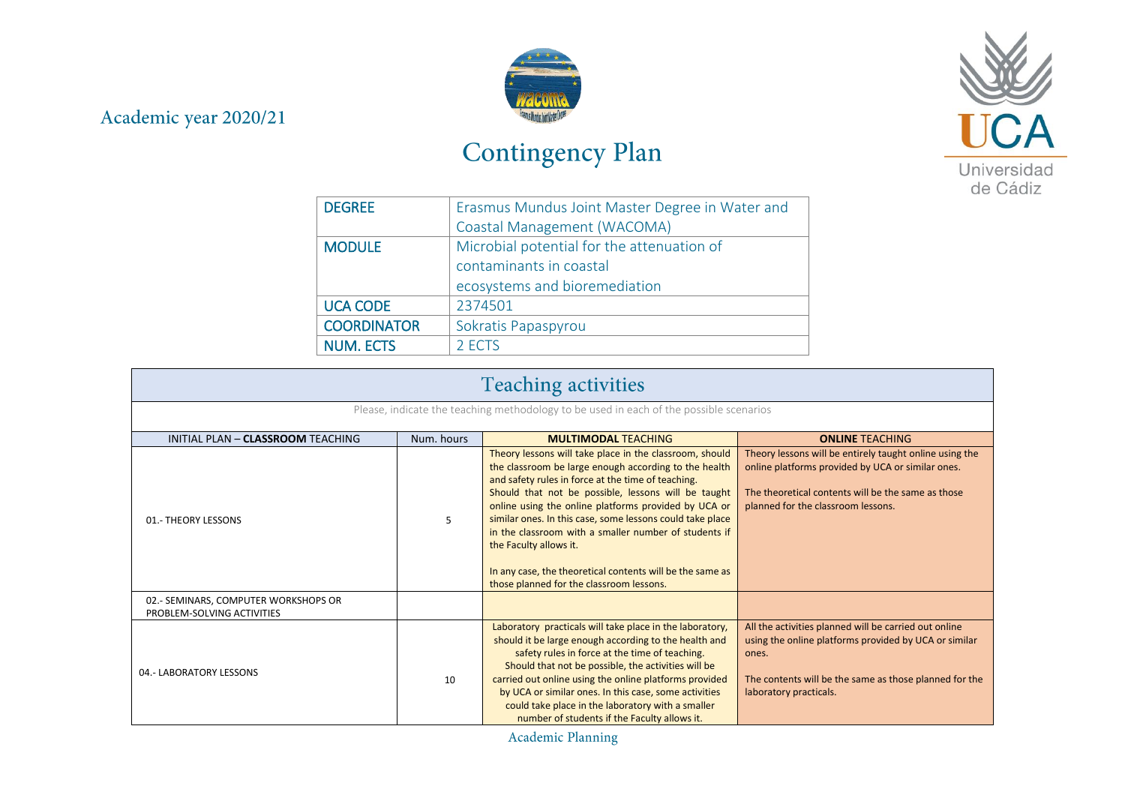## Academic year 2020/21



## Contingency Plan



| <b>DEGREE</b>      | Erasmus Mundus Joint Master Degree in Water and |
|--------------------|-------------------------------------------------|
|                    | Coastal Management (WACOMA)                     |
| <b>MODULE</b>      | Microbial potential for the attenuation of      |
|                    | contaminants in coastal                         |
|                    | ecosystems and bioremediation                   |
| <b>UCA CODE</b>    | 2374501                                         |
| <b>COORDINATOR</b> | Sokratis Papaspyrou                             |
| <b>NUM. ECTS</b>   | 2 ECTS                                          |

| <b>Teaching activities</b>                                                             |            |                                                                                                                                                                                                                                                                                                                                                                                                                                                                                                                                                |                                                                                                                                                                                                             |  |
|----------------------------------------------------------------------------------------|------------|------------------------------------------------------------------------------------------------------------------------------------------------------------------------------------------------------------------------------------------------------------------------------------------------------------------------------------------------------------------------------------------------------------------------------------------------------------------------------------------------------------------------------------------------|-------------------------------------------------------------------------------------------------------------------------------------------------------------------------------------------------------------|--|
| Please, indicate the teaching methodology to be used in each of the possible scenarios |            |                                                                                                                                                                                                                                                                                                                                                                                                                                                                                                                                                |                                                                                                                                                                                                             |  |
| INITIAL PLAN - CLASSROOM TEACHING                                                      | Num, hours | <b>MULTIMODAL TEACHING</b>                                                                                                                                                                                                                                                                                                                                                                                                                                                                                                                     | <b>ONLINE TEACHING</b>                                                                                                                                                                                      |  |
| 01.- THEORY LESSONS                                                                    | 5          | Theory lessons will take place in the classroom, should<br>the classroom be large enough according to the health<br>and safety rules in force at the time of teaching.<br>Should that not be possible, lessons will be taught<br>online using the online platforms provided by UCA or<br>similar ones. In this case, some lessons could take place<br>in the classroom with a smaller number of students if<br>the Faculty allows it.<br>In any case, the theoretical contents will be the same as<br>those planned for the classroom lessons. | Theory lessons will be entirely taught online using the<br>online platforms provided by UCA or similar ones.<br>The theoretical contents will be the same as those<br>planned for the classroom lessons.    |  |
| 02.- SEMINARS, COMPUTER WORKSHOPS OR<br>PROBLEM-SOLVING ACTIVITIES                     |            |                                                                                                                                                                                                                                                                                                                                                                                                                                                                                                                                                |                                                                                                                                                                                                             |  |
| 04.- LABORATORY LESSONS                                                                | 10         | Laboratory practicals will take place in the laboratory,<br>should it be large enough according to the health and<br>safety rules in force at the time of teaching.<br>Should that not be possible, the activities will be<br>carried out online using the online platforms provided<br>by UCA or similar ones. In this case, some activities<br>could take place in the laboratory with a smaller<br>number of students if the Faculty allows it.                                                                                             | All the activities planned will be carried out online<br>using the online platforms provided by UCA or similar<br>ones.<br>The contents will be the same as those planned for the<br>laboratory practicals. |  |

Academic Planning